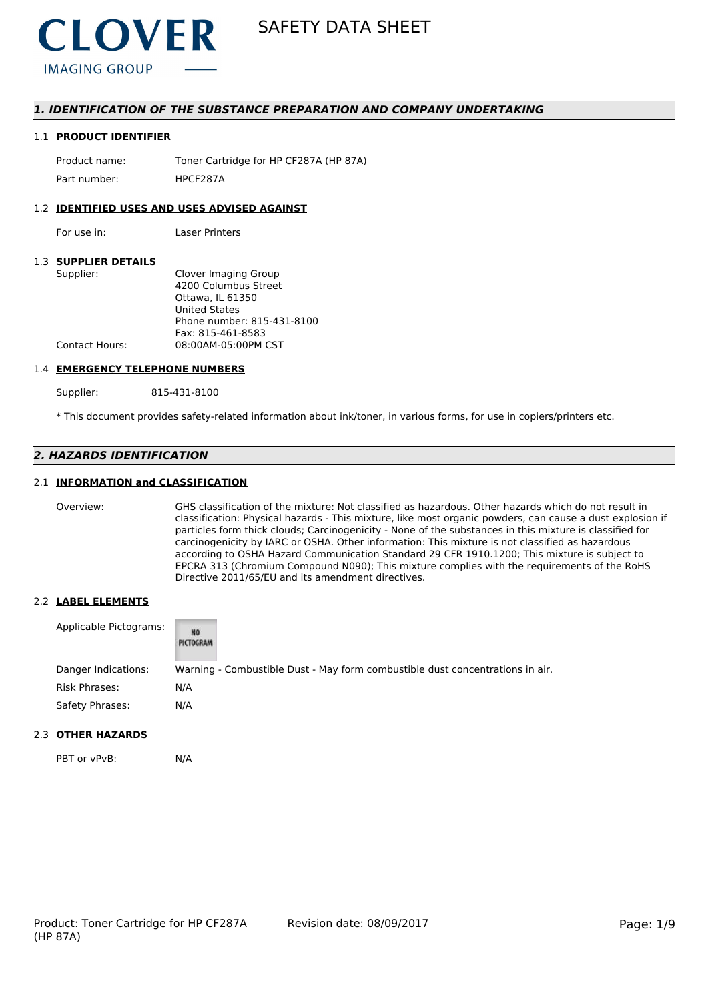

# *1. IDENTIFICATION OF THE SUBSTANCE PREPARATION AND COMPANY UNDERTAKING*

#### 1.1 **PRODUCT IDENTIFIER**

Product name: Toner Cartridge for HP CF287A (HP 87A) Part number: HPCF2874

### 1.2 **IDENTIFIED USES AND USES ADVISED AGAINST**

For use in: Laser Printers

## 1.3 **SUPPLIER DETAILS**

| Clover Imaging Group       |
|----------------------------|
| 4200 Columbus Street       |
| Ottawa. IL 61350           |
| <b>United States</b>       |
| Phone number: 815-431-8100 |
| Fax: 815-461-8583          |
| 08:00AM-05:00PM CST        |
|                            |

#### 1.4 **EMERGENCY TELEPHONE NUMBERS**

Supplier: 815-431-8100

\* This document provides safety-related information about ink/toner, in various forms, for use in copiers/printers etc.

# *2. HAZARDS IDENTIFICATION*

## 2.1 **INFORMATION and CLASSIFICATION**

Overview: GHS classification of the mixture: Not classified as hazardous. Other hazards which do not result in classification: Physical hazards - This mixture, like most organic powders, can cause a dust explosion if particles form thick clouds; Carcinogenicity - None of the substances in this mixture is classified for carcinogenicity by IARC or OSHA. Other information: This mixture is not classified as hazardous according to OSHA Hazard Communication Standard 29 CFR 1910.1200; This mixture is subject to EPCRA 313 (Chromium Compound N090); This mixture complies with the requirements of the RoHS Directive 2011/65/EU and its amendment directives.

#### 2.2 **LABEL ELEMENTS**

| Applicable Pictograms: | NO<br>PICTOGRAM |                                                                               |
|------------------------|-----------------|-------------------------------------------------------------------------------|
| Danger Indications:    |                 | Warning - Combustible Dust - May form combustible dust concentrations in air. |
| Risk Phrases:          | N/A             |                                                                               |
| Safety Phrases:        | N/A             |                                                                               |

# 2.3 **OTHER HAZARDS**

PBT or vPvB: N/A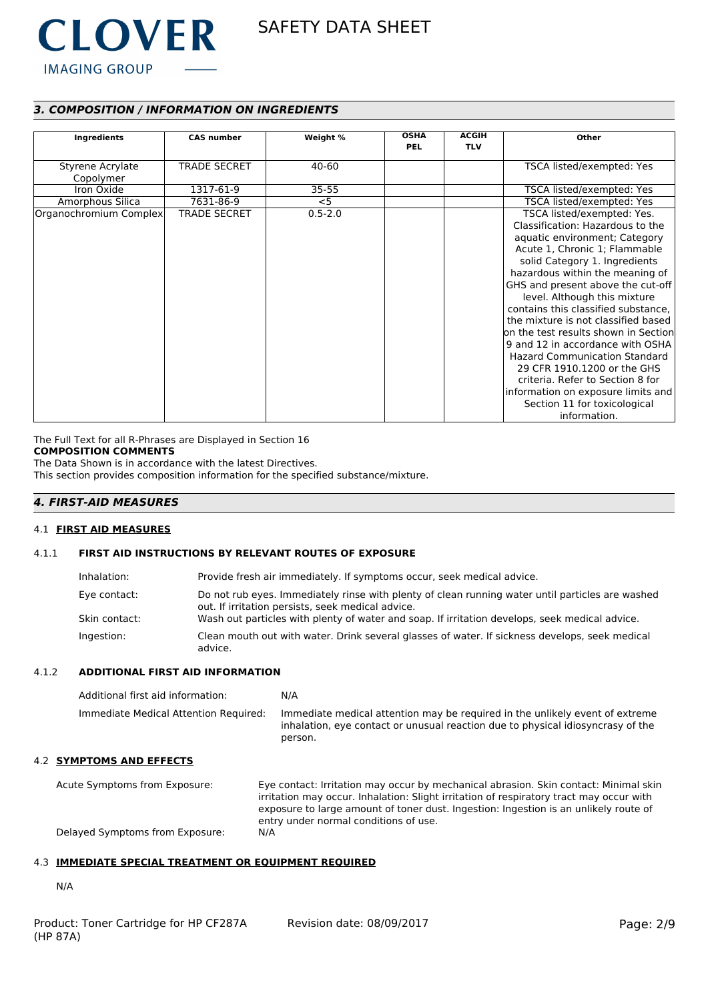

# *3. COMPOSITION / INFORMATION ON INGREDIENTS*

| Ingredients                   | <b>CAS number</b>   | Weight %    | <b>OSHA</b> | <b>ACGIH</b> | Other                                                                                                                                                                                                                                                                                                                                                                                                                                                                                                                                                                                                                                |
|-------------------------------|---------------------|-------------|-------------|--------------|--------------------------------------------------------------------------------------------------------------------------------------------------------------------------------------------------------------------------------------------------------------------------------------------------------------------------------------------------------------------------------------------------------------------------------------------------------------------------------------------------------------------------------------------------------------------------------------------------------------------------------------|
|                               |                     |             | <b>PEL</b>  | <b>TLV</b>   |                                                                                                                                                                                                                                                                                                                                                                                                                                                                                                                                                                                                                                      |
| Styrene Acrylate<br>Copolymer | <b>TRADE SECRET</b> | 40-60       |             |              | TSCA listed/exempted: Yes                                                                                                                                                                                                                                                                                                                                                                                                                                                                                                                                                                                                            |
| Iron Oxide                    | 1317-61-9           | $35 - 55$   |             |              | TSCA listed/exempted: Yes                                                                                                                                                                                                                                                                                                                                                                                                                                                                                                                                                                                                            |
| Amorphous Silica              | 7631-86-9           | $<$ 5       |             |              | TSCA listed/exempted: Yes                                                                                                                                                                                                                                                                                                                                                                                                                                                                                                                                                                                                            |
| Organochromium Complex        | <b>TRADE SECRET</b> | $0.5 - 2.0$ |             |              | TSCA listed/exempted: Yes.<br>Classification: Hazardous to the<br>aquatic environment; Category<br>Acute 1, Chronic 1; Flammable<br>solid Category 1. Ingredients<br>hazardous within the meaning of<br>GHS and present above the cut-off<br>level. Although this mixture<br>contains this classified substance,<br>the mixture is not classified based<br>on the test results shown in Section<br>9 and 12 in accordance with OSHA<br><b>Hazard Communication Standard</b><br>29 CFR 1910.1200 or the GHS<br>criteria. Refer to Section 8 for<br>information on exposure limits and<br>Section 11 for toxicological<br>information. |

The Full Text for all R-Phrases are Displayed in Section 16

# **COMPOSITION COMMENTS**

The Data Shown is in accordance with the latest Directives.

This section provides composition information for the specified substance/mixture.

# *4. FIRST-AID MEASURES*

#### 4.1 **FIRST AID MEASURES**

## 4.1.1 **FIRST AID INSTRUCTIONS BY RELEVANT ROUTES OF EXPOSURE**

| Inhalation:   | Provide fresh air immediately. If symptoms occur, seek medical advice.                                                                                |
|---------------|-------------------------------------------------------------------------------------------------------------------------------------------------------|
| Eye contact:  | Do not rub eyes. Immediately rinse with plenty of clean running water until particles are washed<br>out. If irritation persists, seek medical advice. |
| Skin contact: | Wash out particles with plenty of water and soap. If irritation develops, seek medical advice.                                                        |
| Ingestion:    | Clean mouth out with water. Drink several glasses of water. If sickness develops, seek medical<br>advice.                                             |

### 4.1.2 **ADDITIONAL FIRST AID INFORMATION**

| Additional first aid information:     | N/A                                                                                                                                                                        |
|---------------------------------------|----------------------------------------------------------------------------------------------------------------------------------------------------------------------------|
| Immediate Medical Attention Required: | Immediate medical attention may be required in the unlikely event of extreme<br>inhalation, eye contact or unusual reaction due to physical idiosyncrasy of the<br>person. |

# 4.2 **SYMPTOMS AND EFFECTS**

Acute Symptoms from Exposure: Eye contact: Irritation may occur by mechanical abrasion. Skin contact: Minimal skin irritation may occur. Inhalation: Slight irritation of respiratory tract may occur with exposure to large amount of toner dust. Ingestion: Ingestion is an unlikely route of entry under normal conditions of use. Delayed Symptoms from Exposure: N/A

# 4.3 **IMMEDIATE SPECIAL TREATMENT OR EQUIPMENT REQUIRED**

N/A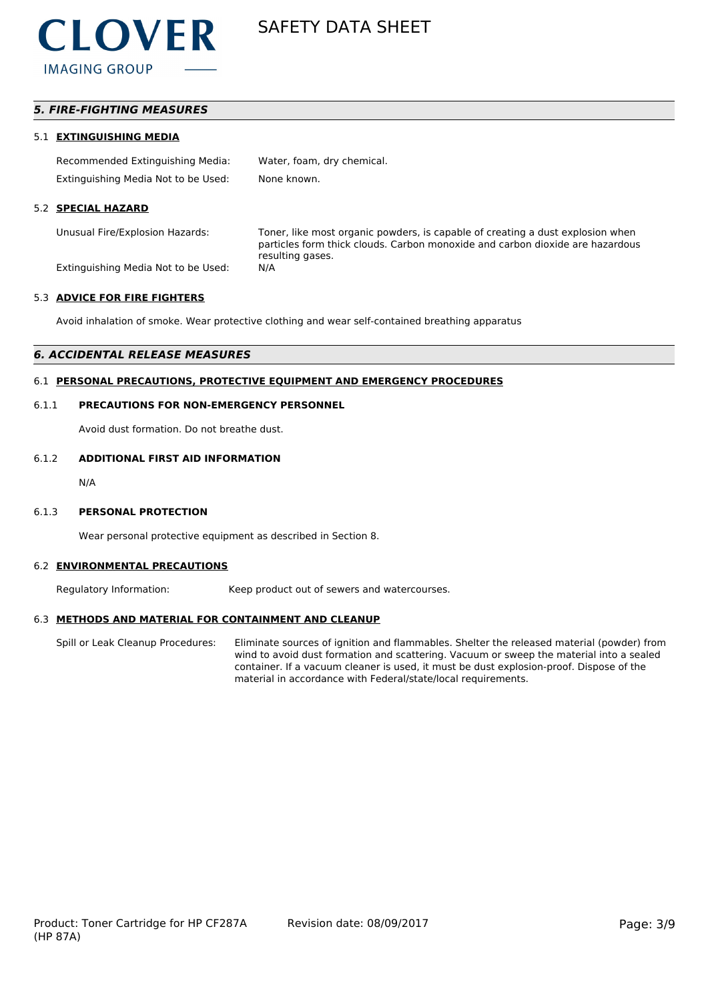

# *5. FIRE-FIGHTING MEASURES*

#### 5.1 **EXTINGUISHING MEDIA**

| Recommended Extinguishing Media:    | Water, foam, dry chemical. |
|-------------------------------------|----------------------------|
| Extinguishing Media Not to be Used: | None known.                |

#### 5.2 **SPECIAL HAZARD**

Unusual Fire/Explosion Hazards: Toner, like most organic powders, is capable of creating a dust explosion when particles form thick clouds. Carbon monoxide and carbon dioxide are hazardous resulting gases.

Extinguishing Media Not to be Used: N/A

#### 5.3 **ADVICE FOR FIRE FIGHTERS**

Avoid inhalation of smoke. Wear protective clothing and wear self-contained breathing apparatus

### *6. ACCIDENTAL RELEASE MEASURES*

# 6.1 **PERSONAL PRECAUTIONS, PROTECTIVE EQUIPMENT AND EMERGENCY PROCEDURES**

#### 6.1.1 **PRECAUTIONS FOR NON-EMERGENCY PERSONNEL**

Avoid dust formation. Do not breathe dust.

#### 6.1.2 **ADDITIONAL FIRST AID INFORMATION**

N/A

#### 6.1.3 **PERSONAL PROTECTION**

Wear personal protective equipment as described in Section 8.

#### 6.2 **ENVIRONMENTAL PRECAUTIONS**

Regulatory Information: Keep product out of sewers and watercourses.

#### 6.3 **METHODS AND MATERIAL FOR CONTAINMENT AND CLEANUP**

Spill or Leak Cleanup Procedures: Eliminate sources of ignition and flammables. Shelter the released material (powder) from wind to avoid dust formation and scattering. Vacuum or sweep the material into a sealed container. If a vacuum cleaner is used, it must be dust explosion-proof. Dispose of the material in accordance with Federal/state/local requirements.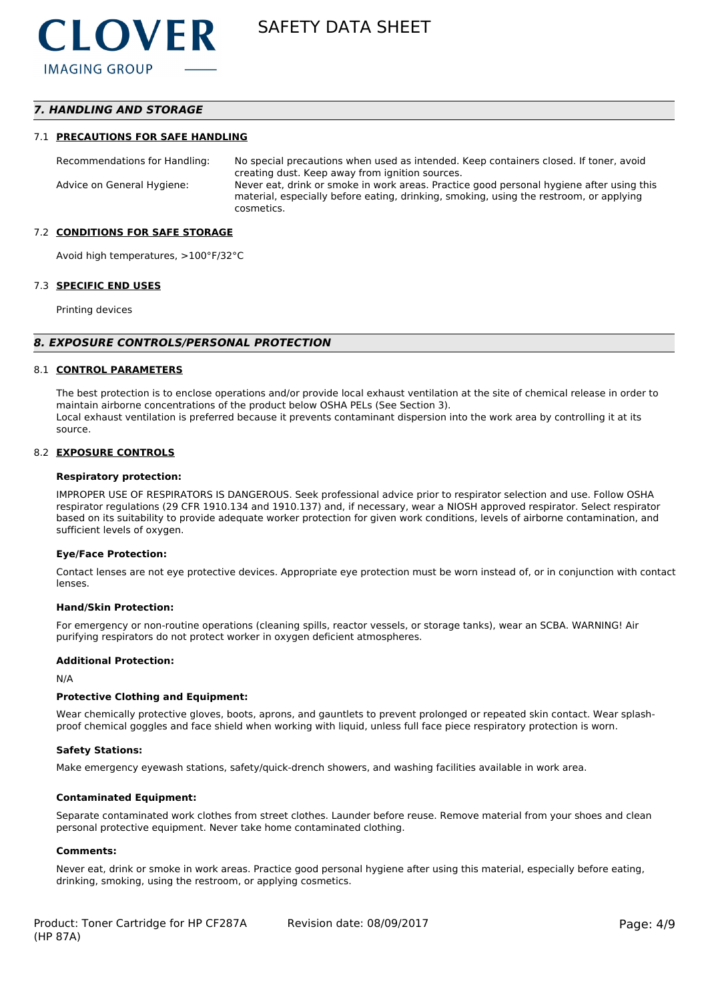# *7. HANDLING AND STORAGE*

#### 7.1 **PRECAUTIONS FOR SAFE HANDLING**

Recommendations for Handling: No special precautions when used as intended. Keep containers closed. If toner, avoid creating dust. Keep away from ignition sources. Advice on General Hygiene: Never eat, drink or smoke in work areas. Practice good personal hygiene after using this material, especially before eating, drinking, smoking, using the restroom, or applying cosmetics.

#### 7.2 **CONDITIONS FOR SAFE STORAGE**

Avoid high temperatures, >100°F/32°C

#### 7.3 **SPECIFIC END USES**

Printing devices

#### *8. EXPOSURE CONTROLS/PERSONAL PROTECTION*

#### 8.1 **CONTROL PARAMETERS**

The best protection is to enclose operations and/or provide local exhaust ventilation at the site of chemical release in order to maintain airborne concentrations of the product below OSHA PELs (See Section 3). Local exhaust ventilation is preferred because it prevents contaminant dispersion into the work area by controlling it at its source.

#### 8.2 **EXPOSURE CONTROLS**

#### **Respiratory protection:**

IMPROPER USE OF RESPIRATORS IS DANGEROUS. Seek professional advice prior to respirator selection and use. Follow OSHA respirator regulations (29 CFR 1910.134 and 1910.137) and, if necessary, wear a NIOSH approved respirator. Select respirator based on its suitability to provide adequate worker protection for given work conditions, levels of airborne contamination, and sufficient levels of oxygen.

#### **Eye/Face Protection:**

Contact lenses are not eye protective devices. Appropriate eye protection must be worn instead of, or in conjunction with contact lenses.

#### **Hand/Skin Protection:**

For emergency or non-routine operations (cleaning spills, reactor vessels, or storage tanks), wear an SCBA. WARNING! Air purifying respirators do not protect worker in oxygen deficient atmospheres.

#### **Additional Protection:**

N/A

#### **Protective Clothing and Equipment:**

Wear chemically protective gloves, boots, aprons, and gauntlets to prevent prolonged or repeated skin contact. Wear splashproof chemical goggles and face shield when working with liquid, unless full face piece respiratory protection is worn.

#### **Safety Stations:**

Make emergency eyewash stations, safety/quick-drench showers, and washing facilities available in work area.

#### **Contaminated Equipment:**

Separate contaminated work clothes from street clothes. Launder before reuse. Remove material from your shoes and clean personal protective equipment. Never take home contaminated clothing.

#### **Comments:**

Never eat, drink or smoke in work areas. Practice good personal hygiene after using this material, especially before eating, drinking, smoking, using the restroom, or applying cosmetics.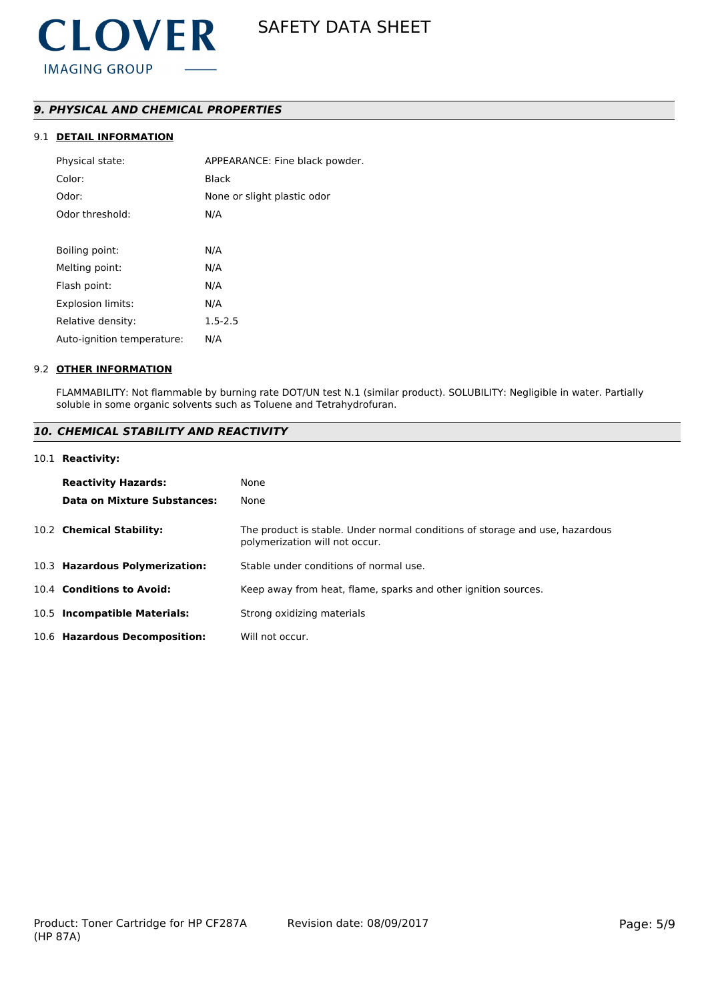# *9. PHYSICAL AND CHEMICAL PROPERTIES*

# 9.1 **DETAIL INFORMATION**

| Physical state:            | APPEARANCE: Fine black powder. |
|----------------------------|--------------------------------|
| Color:                     | Black                          |
| Odor:                      | None or slight plastic odor    |
| Odor threshold:            | N/A                            |
|                            |                                |
| Boiling point:             | N/A                            |
| Melting point:             | N/A                            |
| Flash point:               | N/A                            |
| <b>Explosion limits:</b>   | N/A                            |
| Relative density:          | $1.5 - 2.5$                    |
| Auto-ignition temperature: | N/A                            |
|                            |                                |

#### 9.2 **OTHER INFORMATION**

FLAMMABILITY: Not flammable by burning rate DOT/UN test N.1 (similar product). SOLUBILITY: Negligible in water. Partially soluble in some organic solvents such as Toluene and Tetrahydrofuran.

# *10. CHEMICAL STABILITY AND REACTIVITY*

#### 10.1 **Reactivity:**

| <b>Reactivity Hazards:</b>     | None                                                                                                           |
|--------------------------------|----------------------------------------------------------------------------------------------------------------|
| Data on Mixture Substances:    | None                                                                                                           |
| 10.2 Chemical Stability:       | The product is stable. Under normal conditions of storage and use, hazardous<br>polymerization will not occur. |
| 10.3 Hazardous Polymerization: | Stable under conditions of normal use.                                                                         |
| 10.4 Conditions to Avoid:      | Keep away from heat, flame, sparks and other ignition sources.                                                 |
| 10.5 Incompatible Materials:   | Strong oxidizing materials                                                                                     |
| 10.6 Hazardous Decomposition:  | Will not occur.                                                                                                |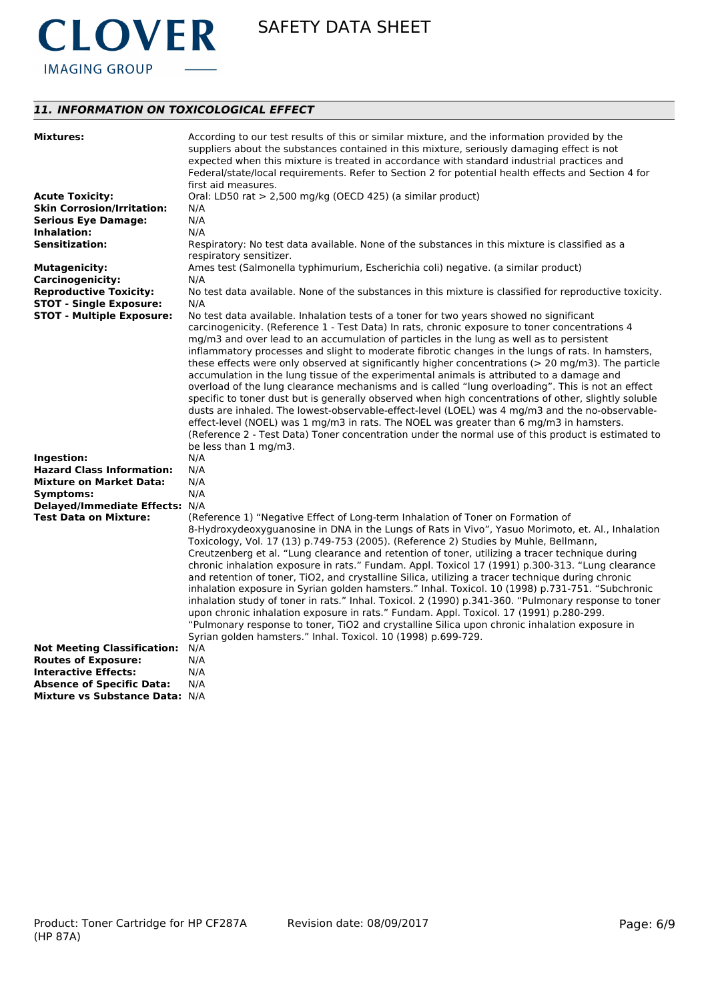

# *11. INFORMATION ON TOXICOLOGICAL EFFECT*

| <b>Mixtures:</b>                   | According to our test results of this or similar mixture, and the information provided by the           |
|------------------------------------|---------------------------------------------------------------------------------------------------------|
|                                    | suppliers about the substances contained in this mixture, seriously damaging effect is not              |
|                                    | expected when this mixture is treated in accordance with standard industrial practices and              |
|                                    | Federal/state/local requirements. Refer to Section 2 for potential health effects and Section 4 for     |
|                                    | first aid measures.                                                                                     |
| <b>Acute Toxicity:</b>             | Oral: LD50 rat > 2,500 mg/kg (OECD 425) (a similar product)                                             |
|                                    |                                                                                                         |
| <b>Skin Corrosion/Irritation:</b>  | N/A                                                                                                     |
| <b>Serious Eye Damage:</b>         | N/A                                                                                                     |
| Inhalation:                        | N/A                                                                                                     |
| <b>Sensitization:</b>              | Respiratory: No test data available. None of the substances in this mixture is classified as a          |
|                                    | respiratory sensitizer.                                                                                 |
| <b>Mutagenicity:</b>               | Ames test (Salmonella typhimurium, Escherichia coli) negative. (a similar product)                      |
| <b>Carcinogenicity:</b>            | N/A                                                                                                     |
| <b>Reproductive Toxicity:</b>      | No test data available. None of the substances in this mixture is classified for reproductive toxicity. |
| <b>STOT - Single Exposure:</b>     | N/A                                                                                                     |
|                                    |                                                                                                         |
| <b>STOT - Multiple Exposure:</b>   | No test data available. Inhalation tests of a toner for two years showed no significant                 |
|                                    | carcinogenicity. (Reference 1 - Test Data) In rats, chronic exposure to toner concentrations 4          |
|                                    | mg/m3 and over lead to an accumulation of particles in the lung as well as to persistent                |
|                                    | inflammatory processes and slight to moderate fibrotic changes in the lungs of rats. In hamsters,       |
|                                    | these effects were only observed at significantly higher concentrations (> 20 mg/m3). The particle      |
|                                    | accumulation in the lung tissue of the experimental animals is attributed to a damage and               |
|                                    | overload of the lung clearance mechanisms and is called "lung overloading". This is not an effect       |
|                                    | specific to toner dust but is generally observed when high concentrations of other, slightly soluble    |
|                                    | dusts are inhaled. The lowest-observable-effect-level (LOEL) was 4 mg/m3 and the no-observable-         |
|                                    |                                                                                                         |
|                                    | effect-level (NOEL) was 1 mg/m3 in rats. The NOEL was greater than 6 mg/m3 in hamsters.                 |
|                                    | (Reference 2 - Test Data) Toner concentration under the normal use of this product is estimated to      |
|                                    | be less than 1 mg/m3.                                                                                   |
| Ingestion:                         | N/A                                                                                                     |
| <b>Hazard Class Information:</b>   | N/A                                                                                                     |
| <b>Mixture on Market Data:</b>     | N/A                                                                                                     |
| Symptoms:                          | N/A                                                                                                     |
| Delayed/Immediate Effects: N/A     |                                                                                                         |
| <b>Test Data on Mixture:</b>       | (Reference 1) "Negative Effect of Long-term Inhalation of Toner on Formation of                         |
|                                    | 8-Hydroxydeoxyguanosine in DNA in the Lungs of Rats in Vivo", Yasuo Morimoto, et. Al., Inhalation       |
|                                    | Toxicology, Vol. 17 (13) p.749-753 (2005). (Reference 2) Studies by Muhle, Bellmann,                    |
|                                    |                                                                                                         |
|                                    | Creutzenberg et al. "Lung clearance and retention of toner, utilizing a tracer technique during         |
|                                    | chronic inhalation exposure in rats." Fundam. Appl. Toxicol 17 (1991) p.300-313. "Lung clearance        |
|                                    | and retention of toner, TiO2, and crystalline Silica, utilizing a tracer technique during chronic       |
|                                    | inhalation exposure in Syrian golden hamsters." Inhal. Toxicol. 10 (1998) p.731-751. "Subchronic        |
|                                    | inhalation study of toner in rats." Inhal. Toxicol. 2 (1990) p.341-360. "Pulmonary response to toner    |
|                                    | upon chronic inhalation exposure in rats." Fundam. Appl. Toxicol. 17 (1991) p.280-299.                  |
|                                    | "Pulmonary response to toner, TiO2 and crystalline Silica upon chronic inhalation exposure in           |
|                                    | Syrian golden hamsters." Inhal. Toxicol. 10 (1998) p.699-729.                                           |
| <b>Not Meeting Classification:</b> | N/A                                                                                                     |
| <b>Routes of Exposure:</b>         | N/A                                                                                                     |
| <b>Interactive Effects:</b>        |                                                                                                         |
|                                    | N/A                                                                                                     |
| <b>Absence of Specific Data:</b>   | N/A                                                                                                     |
| Mixture vs Substance Data: N/A     |                                                                                                         |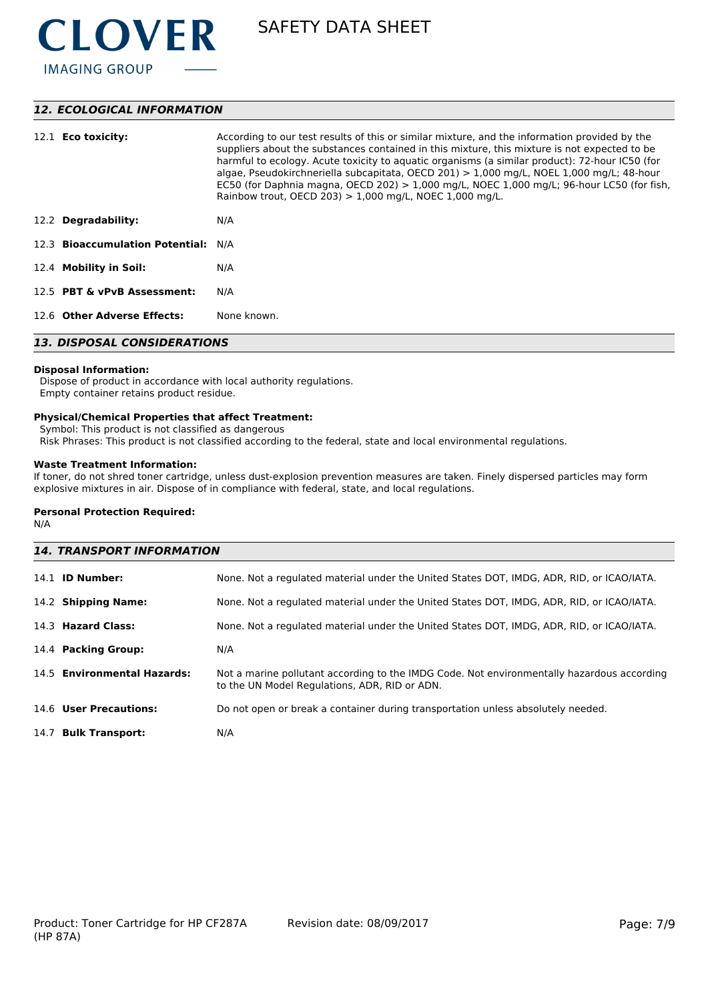

# *12. ECOLOGICAL INFORMATION*

| 12.1 <b>Eco toxicity:</b>           | According to our test results of this or similar mixture, and the information provided by the<br>suppliers about the substances contained in this mixture, this mixture is not expected to be<br>harmful to ecology. Acute toxicity to aquatic organisms (a similar product): 72-hour IC50 (for<br>algae, Pseudokirchneriella subcapitata, OECD 201) $> 1,000$ mg/L, NOEL 1,000 mg/L; 48-hour<br>EC50 (for Daphnia magna, OECD 202) $> 1,000$ mg/L, NOEC 1,000 mg/L; 96-hour LC50 (for fish,<br>Rainbow trout, OECD 203) $> 1,000$ mg/L, NOEC 1,000 mg/L. |  |
|-------------------------------------|-----------------------------------------------------------------------------------------------------------------------------------------------------------------------------------------------------------------------------------------------------------------------------------------------------------------------------------------------------------------------------------------------------------------------------------------------------------------------------------------------------------------------------------------------------------|--|
| 12.2 Degradability:                 | N/A                                                                                                                                                                                                                                                                                                                                                                                                                                                                                                                                                       |  |
| 12.3 Bioaccumulation Potential: N/A |                                                                                                                                                                                                                                                                                                                                                                                                                                                                                                                                                           |  |
| 12.4 Mobility in Soil:              | N/A                                                                                                                                                                                                                                                                                                                                                                                                                                                                                                                                                       |  |
| 12.5 PBT & vPvB Assessment:         | N/A                                                                                                                                                                                                                                                                                                                                                                                                                                                                                                                                                       |  |
| 12.6 Other Adverse Effects:         | None known.                                                                                                                                                                                                                                                                                                                                                                                                                                                                                                                                               |  |
| <b>13. DISPOSAL CONSIDERATIONS</b>  |                                                                                                                                                                                                                                                                                                                                                                                                                                                                                                                                                           |  |

#### **Disposal Information:**

 Dispose of product in accordance with local authority regulations. Empty container retains product residue.

### **Physical/Chemical Properties that affect Treatment:**

Symbol: This product is not classified as dangerous

Risk Phrases: This product is not classified according to the federal, state and local environmental regulations.

## **Waste Treatment Information:**

If toner, do not shred toner cartridge, unless dust-explosion prevention measures are taken. Finely dispersed particles may form explosive mixtures in air. Dispose of in compliance with federal, state, and local regulations.

#### **Personal Protection Required:**

N/A

| <b>14. TRANSPORT INFORMATION</b> |                                                                                                                                             |  |
|----------------------------------|---------------------------------------------------------------------------------------------------------------------------------------------|--|
| 14.1 <b>ID Number:</b>           | None. Not a regulated material under the United States DOT, IMDG, ADR, RID, or ICAO/IATA.                                                   |  |
| 14.2 Shipping Name:              | None. Not a regulated material under the United States DOT, IMDG, ADR, RID, or ICAO/IATA.                                                   |  |
| 14.3 Hazard Class:               | None. Not a regulated material under the United States DOT, IMDG, ADR, RID, or ICAO/IATA.                                                   |  |
| 14.4 Packing Group:              | N/A                                                                                                                                         |  |
| 14.5 Environmental Hazards:      | Not a marine pollutant according to the IMDG Code. Not environmentally hazardous according<br>to the UN Model Regulations, ADR, RID or ADN. |  |
| 14.6 User Precautions:           | Do not open or break a container during transportation unless absolutely needed.                                                            |  |
| 14.7 Bulk Transport:             | N/A                                                                                                                                         |  |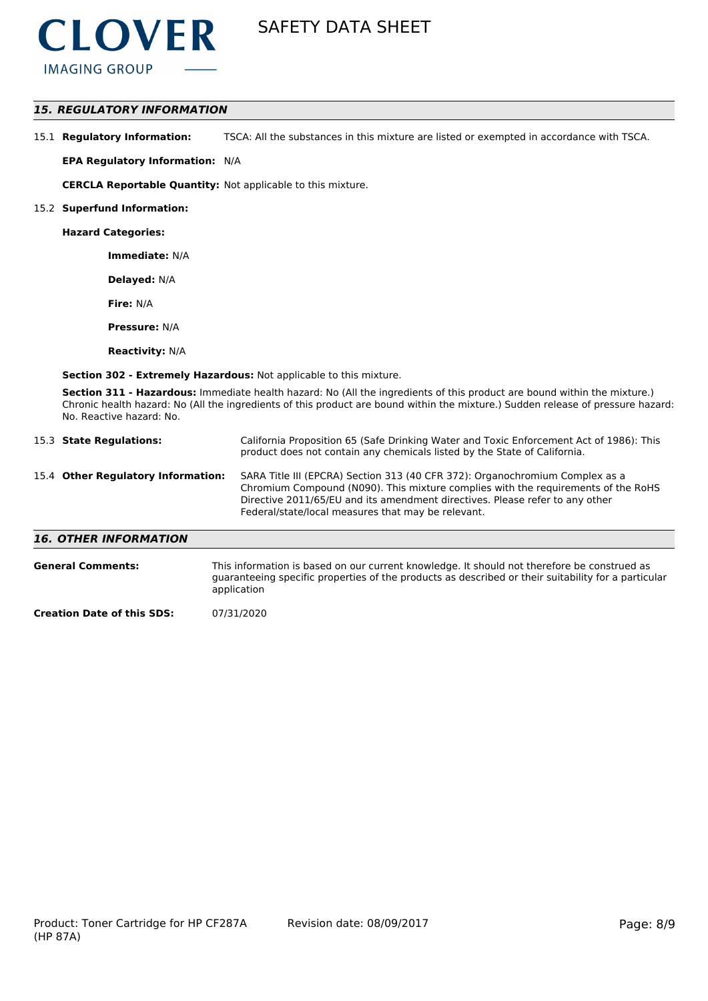

## *15. REGULATORY INFORMATION*

15.1 **Regulatory Information:** TSCA: All the substances in this mixture are listed or exempted in accordance with TSCA.

**EPA Regulatory Information:** N/A

**CERCLA Reportable Quantity:** Not applicable to this mixture.

#### 15.2 **Superfund Information:**

**Hazard Categories:**

**Immediate:** N/A

**Delayed:** N/A

**Fire:** N/A

**Pressure:** N/A

**Reactivity:** N/A

**Section 302 - Extremely Hazardous:** Not applicable to this mixture.

**Section 311 - Hazardous:** Immediate health hazard: No (All the ingredients of this product are bound within the mixture.) Chronic health hazard: No (All the ingredients of this product are bound within the mixture.) Sudden release of pressure hazard: No. Reactive hazard: No.

| 15.3 State Regulations:            | California Proposition 65 (Safe Drinking Water and Toxic Enforcement Act of 1986): This<br>product does not contain any chemicals listed by the State of California.                                                                                                                                    |
|------------------------------------|---------------------------------------------------------------------------------------------------------------------------------------------------------------------------------------------------------------------------------------------------------------------------------------------------------|
| 15.4 Other Regulatory Information: | SARA Title III (EPCRA) Section 313 (40 CFR 372): Organochromium Complex as a<br>Chromium Compound (N090). This mixture complies with the requirements of the RoHS<br>Directive 2011/65/EU and its amendment directives. Please refer to any other<br>Federal/state/local measures that may be relevant. |
| <b>16. OTHER INFORMATION</b>       |                                                                                                                                                                                                                                                                                                         |

| <b>General Comments:</b> | This information is based on our current knowledge. It should not therefore be construed as<br>guaranteeing specific properties of the products as described or their suitability for a particular<br>application |
|--------------------------|-------------------------------------------------------------------------------------------------------------------------------------------------------------------------------------------------------------------|
| - -                      | 27.7.7.000                                                                                                                                                                                                        |

**Creation Date of this SDS:** 07/31/2020